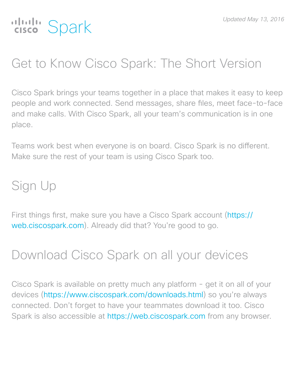# alulu Spark

# Get to Know Cisco Spark: The Short Version

Cisco Spark brings your teams together in a place that makes it easy to keep people and work connected. Send messages, share fles, meet face-to-face and make calls. With Cisco Spark, all your team's communication is in one place.

Teams work best when everyone is on board. Cisco Spark is no diferent. Make sure the rest of your team is using Cisco Spark too.

# Sign Up

First things frst, make sure you have a Cisco Spark account (https:// web.ciscospark.com). Already did that? You're good to go.

# Download Cisco Spark on all your devices

Cisco Spark is available on pretty much any platform - get it on all of your devices (https://www.ciscospark.com/downloads.html) so you're always connected. Don't forget to have your teammates download it too. Cisco Spark is also accessible at https://web.ciscospark.com from any browser.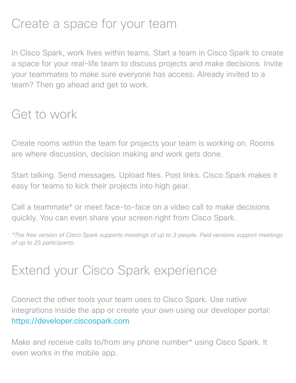## Create a space for your team

In Cisco Spark, work lives within teams. Start a team in Cisco Spark to create a space for your real-life team to discuss projects and make decisions. Invite your teammates to make sure everyone has access. Already invited to a team? Then go ahead and get to work.

#### Get to work

Create rooms within the team for projects your team is working on. Rooms are where discussion, decision making and work gets done.

Start talking. Send messages. Upload fles. Post links. Cisco Spark makes it easy for teams to kick their projects into high gear.

Call a teammate\* or meet face-to-face on a video call to make decisions quickly. You can even share your screen right from Cisco Spark.

*\*The free version of Cisco Spark supports meetings of up to 3 people. Paid versions support meetings of up to 25 participants.*

#### Extend your Cisco Spark experience

Connect the other tools your team uses to Cisco Spark. Use native integrations inside the app or create your own using our developer portal: https://developer.ciscospark.com

Make and receive calls to/from any phone number\* using Cisco Spark. It even works in the mobile app.